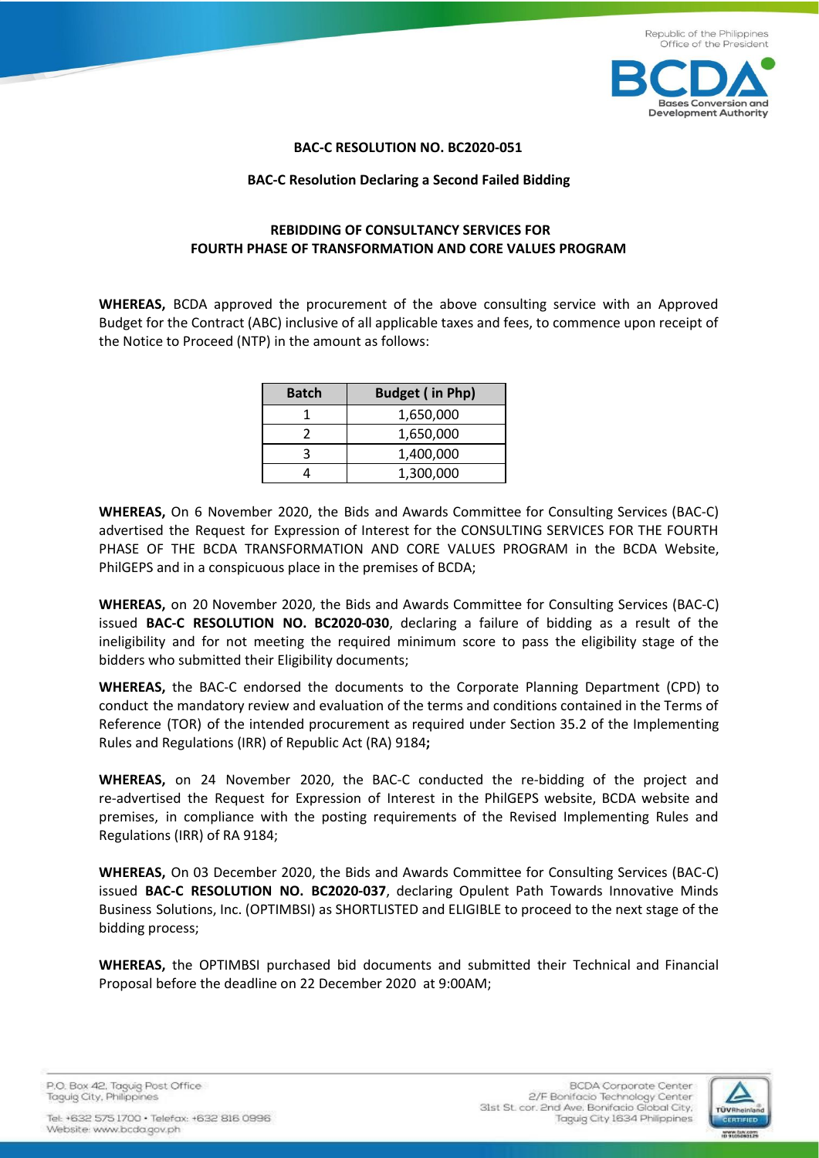

## **BAC-C RESOLUTION NO. BC2020-051**

## **BAC-C Resolution Declaring a Second Failed Bidding**

## **REBIDDING OF CONSULTANCY SERVICES FOR FOURTH PHASE OF TRANSFORMATION AND CORE VALUES PROGRAM**

**WHEREAS,** BCDA approved the procurement of the above consulting service with an Approved Budget for the Contract (ABC) inclusive of all applicable taxes and fees, to commence upon receipt of the Notice to Proceed (NTP) in the amount as follows:

| <b>Batch</b> | <b>Budget (in Php)</b> |
|--------------|------------------------|
|              | 1,650,000              |
|              | 1,650,000              |
|              | 1,400,000              |
|              | 1,300,000              |

**WHEREAS,** On 6 November 2020, the Bids and Awards Committee for Consulting Services (BAC-C) advertised the Request for Expression of Interest for the CONSULTING SERVICES FOR THE FOURTH PHASE OF THE BCDA TRANSFORMATION AND CORE VALUES PROGRAM in the BCDA Website, PhilGEPS and in a conspicuous place in the premises of BCDA;

**WHEREAS,** on 20 November 2020, the Bids and Awards Committee for Consulting Services (BAC-C) issued **BAC-C RESOLUTION NO. BC2020-030**, declaring a failure of bidding as a result of the ineligibility and for not meeting the required minimum score to pass the eligibility stage of the bidders who submitted their Eligibility documents;

**WHEREAS,** the BAC-C endorsed the documents to the Corporate Planning Department (CPD) to conduct the mandatory review and evaluation of the terms and conditions contained in the Terms of Reference (TOR) of the intended procurement as required under Section 35.2 of the Implementing Rules and Regulations (IRR) of Republic Act (RA) 9184**;**

**WHEREAS,** on 24 November 2020, the BAC-C conducted the re-bidding of the project and re-advertised the Request for Expression of Interest in the PhilGEPS website, BCDA website and premises, in compliance with the posting requirements of the Revised Implementing Rules and Regulations (IRR) of RA 9184;

**WHEREAS,** On 03 December 2020, the Bids and Awards Committee for Consulting Services (BAC-C) issued **BAC-C RESOLUTION NO. BC2020-037**, declaring Opulent Path Towards Innovative Minds Business Solutions, Inc. (OPTIMBSI) as SHORTLISTED and ELIGIBLE to proceed to the next stage of the bidding process;

**WHEREAS,** the OPTIMBSI purchased bid documents and submitted their Technical and Financial Proposal before the deadline on 22 December 2020 at 9:00AM;

P.O. Box 42. Taguig Post Office Taguig City, Philippines

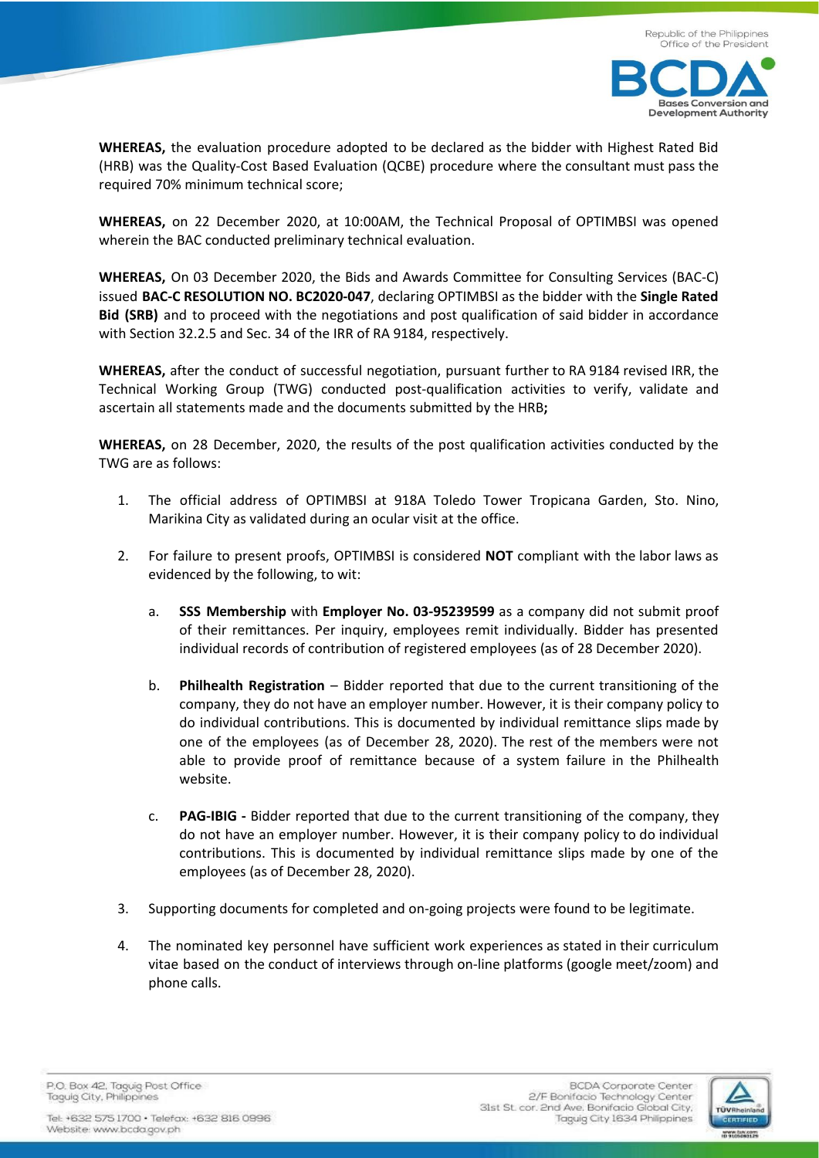

**WHEREAS,** the evaluation procedure adopted to be declared as the bidder with Highest Rated Bid (HRB) was the Quality-Cost Based Evaluation (QCBE) procedure where the consultant must pass the required 70% minimum technical score;

**WHEREAS,** on 22 December 2020, at 10:00AM, the Technical Proposal of OPTIMBSI was opened wherein the BAC conducted preliminary technical evaluation.

**WHEREAS,** On 03 December 2020, the Bids and Awards Committee for Consulting Services (BAC-C) issued **BAC-C RESOLUTION NO. BC2020-047**, declaring OPTIMBSI as the bidder with the **Single Rated Bid (SRB)** and to proceed with the negotiations and post qualification of said bidder in accordance with Section 32.2.5 and Sec. 34 of the IRR of RA 9184, respectively.

**WHEREAS,** after the conduct of successful negotiation, pursuant further to RA 9184 revised IRR, the Technical Working Group (TWG) conducted post-qualification activities to verify, validate and ascertain all statements made and the documents submitted by the HRB**;**

**WHEREAS,** on 28 December, 2020, the results of the post qualification activities conducted by the TWG are as follows:

- 1. The official address of OPTIMBSI at 918A Toledo Tower Tropicana Garden, Sto. Nino, Marikina City as validated during an ocular visit at the office.
- 2. For failure to present proofs, OPTIMBSI is considered **NOT** compliant with the labor laws as evidenced by the following, to wit:
	- a. **SSS Membership** with **Employer No. 03-95239599** as a company did not submit proof of their remittances. Per inquiry, employees remit individually. Bidder has presented individual records of contribution of registered employees (as of 28 December 2020).
	- b. **Philhealth Registration** Bidder reported that due to the current transitioning of the company, they do not have an employer number. However, it is their company policy to do individual contributions. This is documented by individual remittance slips made by one of the employees (as of December 28, 2020). The rest of the members were not able to provide proof of remittance because of a system failure in the Philhealth website.
	- c. **PAG-IBIG -** Bidder reported that due to the current transitioning of the company, they do not have an employer number. However, it is their company policy to do individual contributions. This is documented by individual remittance slips made by one of the employees (as of December 28, 2020).
- 3. Supporting documents for completed and on-going projects were found to be legitimate.
- 4. The nominated key personnel have sufficient work experiences as stated in their curriculum vitae based on the conduct of interviews through on-line platforms (google meet/zoom) and phone calls.

P.O. Box 42. Taquig Post Office Taguig City, Philippines

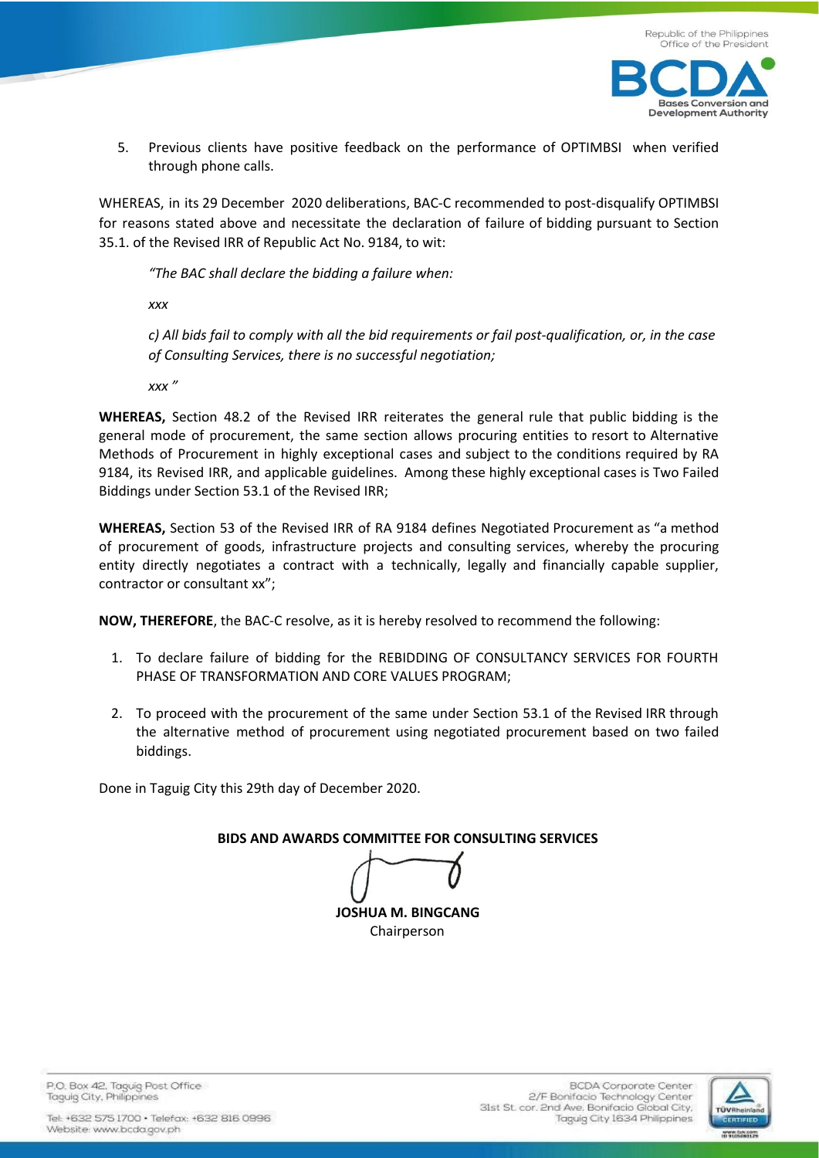



5. Previous clients have positive feedback on the performance of OPTIMBSI when verified through phone calls.

WHEREAS, in its 29 December 2020 deliberations, BAC-C recommended to post-disqualify OPTIMBSI for reasons stated above and necessitate the declaration of failure of bidding pursuant to Section 35.1. of the Revised IRR of Republic Act No. 9184, to wit:

*"The BAC shall declare the bidding a failure when:*

*xxx*

c) All bids fail to comply with all the bid requirements or fail post-qualification, or, in the case *of Consulting Services, there is no successful negotiation;*

*xxx "*

**WHEREAS,** Section 48.2 of the Revised IRR reiterates the general rule that public bidding is the general mode of procurement, the same section allows procuring entities to resort to Alternative Methods of Procurement in highly exceptional cases and subject to the conditions required by RA 9184, its Revised IRR, and applicable guidelines. Among these highly exceptional cases is Two Failed Biddings under Section 53.1 of the Revised IRR;

**WHEREAS,** Section 53 of the Revised IRR of RA 9184 defines Negotiated Procurement as "a method of procurement of goods, infrastructure projects and consulting services, whereby the procuring entity directly negotiates a contract with a technically, legally and financially capable supplier, contractor or consultant xx";

**NOW, THEREFORE**, the BAC-C resolve, as it is hereby resolved to recommend the following:

- 1. To declare failure of bidding for the REBIDDING OF CONSULTANCY SERVICES FOR FOURTH PHASE OF TRANSFORMATION AND CORE VALUES PROGRAM;
- 2. To proceed with the procurement of the same under Section 53.1 of the Revised IRR through the alternative method of procurement using negotiated procurement based on two failed biddings.

Done in Taguig City this 29th day of December 2020.

**BIDS AND AWARDS COMMITTEE FOR CONSULTING SERVICES**

**JOSHUA M. BINGCANG** Chairperson